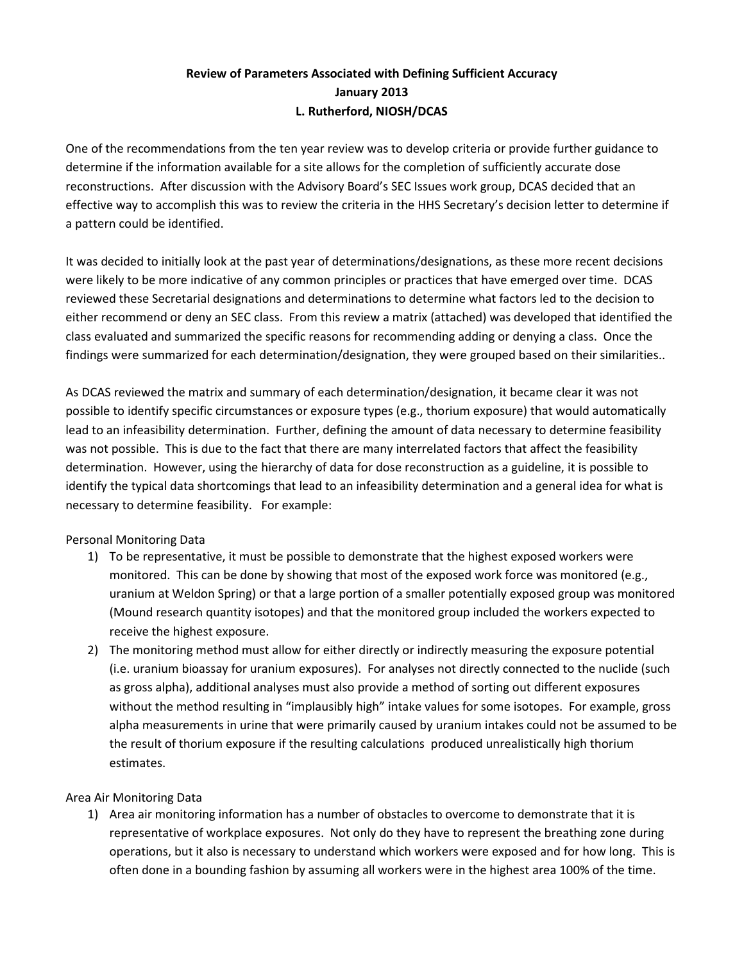# Review of Parameters Associated with Defining Sufficient Accuracy January 2013 L. Rutherford, NIOSH/DCAS

 One of the recommendations from the ten year review was to develop criteria or provide further guidance to determine if the information available for a site allows for the completion of sufficiently accurate dose reconstructions. After discussion with the Advisory Board's SEC Issues work group, DCAS decided that an effective way to accomplish this was to review the criteria in the HHS Secretary's decision letter to determine if a pattern could be identified.

 It was decided to initially look at the past year of determinations/designations, as these more recent decisions were likely to be more indicative of any common principles or practices that have emerged over time. DCAS reviewed these Secretarial designations and determinations to determine what factors led to the decision to either recommend or deny an SEC class. From this review a matrix (attached) was developed that identified the class evaluated and summarized the specific reasons for recommending adding or denying a class. Once the findings were summarized for each determination/designation, they were grouped based on their similarities..

 As DCAS reviewed the matrix and summary of each determination/designation, it became clear it was not possible to identify specific circumstances or exposure types (e.g., thorium exposure) that would automatically lead to an infeasibility determination. Further, defining the amount of data necessary to determine feasibility was not possible. This is due to the fact that there are many interrelated factors that affect the feasibility determination. However, using the hierarchy of data for dose reconstruction as a guideline, it is possible to identify the typical data shortcomings that lead to an infeasibility determination and a general idea for what is necessary to determine feasibility. For example:

# Personal Monitoring Data

- 1) To be representative, it must be possible to demonstrate that the highest exposed workers were monitored. This can be done by showing that most of the exposed work force was monitored (e.g., uranium at Weldon Spring) or that a large portion of a smaller potentially exposed group was monitored (Mound research quantity isotopes) and that the monitored group included the workers expected to receive the highest exposure.
- 2) The monitoring method must allow for either directly or indirectly measuring the exposure potential (i.e. uranium bioassay for uranium exposures). For analyses not directly connected to the nuclide (such as gross alpha), additional analyses must also provide a method of sorting out different exposures without the method resulting in "implausibly high" intake values for some isotopes. For example, gross alpha measurements in urine that were primarily caused by uranium intakes could not be assumed to be the result of thorium exposure if the resulting calculations produced unrealistically high thorium estimates.

# Area Air Monitoring Data

 1) Area air monitoring information has a number of obstacles to overcome to demonstrate that it is representative of workplace exposures. Not only do they have to represent the breathing zone during operations, but it also is necessary to understand which workers were exposed and for how long. This is often done in a bounding fashion by assuming all workers were in the highest area 100% of the time.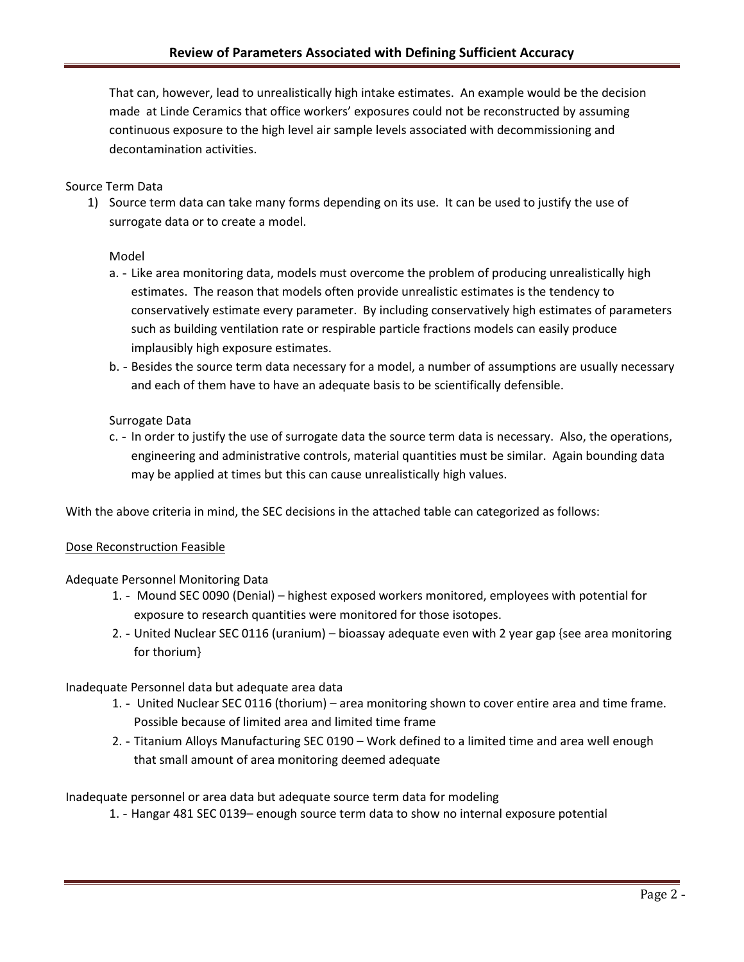That can, however, lead to unrealistically high intake estimates. An example would be the decision made at Linde Ceramics that office workers' exposures could not be reconstructed by assuming continuous exposure to the high level air sample levels associated with decommissioning and decontamination activities.

#### Source Term Data

 1) Source term data can take many forms depending on its use. It can be used to justify the use of surrogate data or to create a model.

#### Model

- a. Like area monitoring data, models must overcome the problem of producing unrealistically high estimates. The reason that models often provide unrealistic estimates is the tendency to conservatively estimate every parameter. By including conservatively high estimates of parameters such as building ventilation rate or respirable particle fractions models can easily produce implausibly high exposure estimates.
- b. Besides the source term data necessary for a model, a number of assumptions are usually necessary and each of them have to have an adequate basis to be scientifically defensible.

#### Surrogate Data

c. - In order to justify the use of surrogate data the source term data is necessary. Also, the operations, engineering and administrative controls, material quantities must be similar. Again bounding data may be applied at times but this can cause unrealistically high values.

With the above criteria in mind, the SEC decisions in the attached table can categorized as follows:

#### Dose Reconstruction Feasible

#### Adequate Personnel Monitoring Data

- 1. Mound SEC 0090 (Denial) highest exposed workers monitored, employees with potential for exposure to research quantities were monitored for those isotopes.
- 2. United Nuclear SEC 0116 (uranium) bioassay adequate even with 2 year gap {see area monitoring for thorium}

#### Inadequate Personnel data but adequate area data

- 1. United Nuclear SEC 0116 (thorium) area monitoring shown to cover entire area and time frame. Possible because of limited area and limited time frame
- 2. Titanium Alloys Manufacturing SEC 0190 Work defined to a limited time and area well enough that small amount of area monitoring deemed adequate

Inadequate personnel or area data but adequate source term data for modeling

1. - Hangar 481 SEC 0139- enough source term data to show no internal exposure potential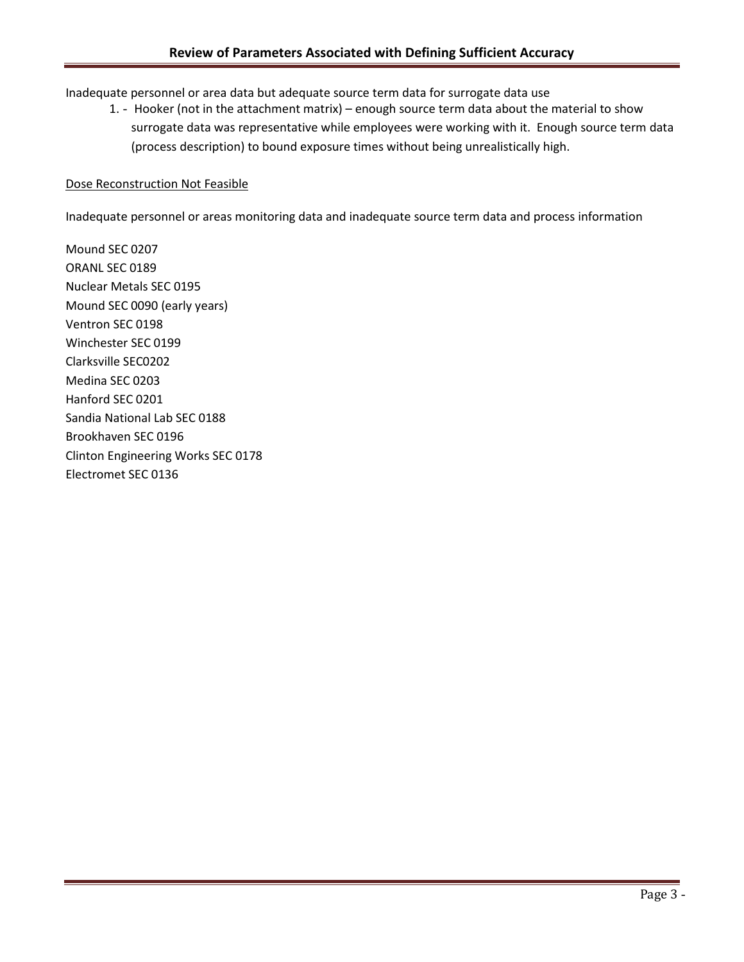Inadequate personnel or area data but adequate source term data for surrogate data use

1. - Hooker (not in the attachment matrix) – enough source term data about the material to show surrogate data was representative while employees were working with it. Enough source term data (process description) to bound exposure times without being unrealistically high.

#### Dose Reconstruction Not Feasible

Inadequate personnel or areas monitoring data and inadequate source term data and process information

 Mound SEC 0207 ORANL SEC 0189 Nuclear Metals SEC 0195 Mound SEC 0090 (early years) Ventron SEC 0198 Winchester SEC 0199 Clarksville SEC0202 Medina SEC 0203 Hanford SEC 0201 Sandia National Lab SEC 0188 Brookhaven SEC 0196 Clinton Engineering Works SEC 0178 Electromet SEC 0136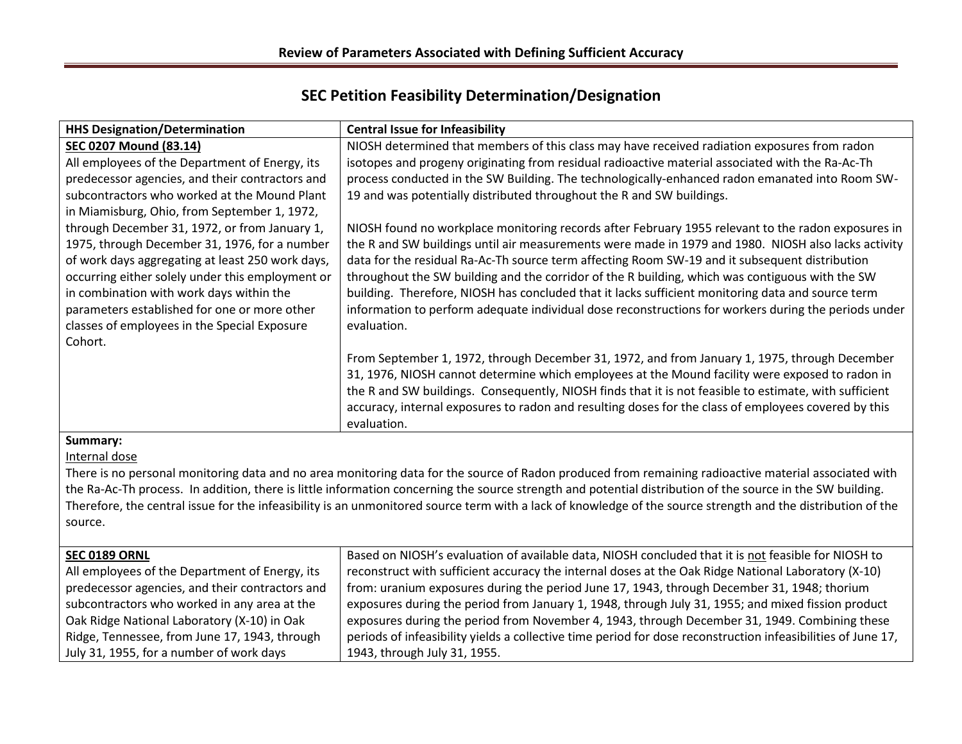# SEC Petition Feasibility Determination/Designation

| <b>HHS Designation/Determination</b>                                                                                                                                                                                                               | <b>Central Issue for Infeasibility</b>                                                                                                                                                                                                                                                                                                                                                                                                                                                                              |
|----------------------------------------------------------------------------------------------------------------------------------------------------------------------------------------------------------------------------------------------------|---------------------------------------------------------------------------------------------------------------------------------------------------------------------------------------------------------------------------------------------------------------------------------------------------------------------------------------------------------------------------------------------------------------------------------------------------------------------------------------------------------------------|
| <b>SEC 0207 Mound (83.14)</b>                                                                                                                                                                                                                      | NIOSH determined that members of this class may have received radiation exposures from radon                                                                                                                                                                                                                                                                                                                                                                                                                        |
| All employees of the Department of Energy, its                                                                                                                                                                                                     | isotopes and progeny originating from residual radioactive material associated with the Ra-Ac-Th                                                                                                                                                                                                                                                                                                                                                                                                                    |
| predecessor agencies, and their contractors and                                                                                                                                                                                                    | process conducted in the SW Building. The technologically-enhanced radon emanated into Room SW-                                                                                                                                                                                                                                                                                                                                                                                                                     |
| subcontractors who worked at the Mound Plant                                                                                                                                                                                                       | 19 and was potentially distributed throughout the R and SW buildings.                                                                                                                                                                                                                                                                                                                                                                                                                                               |
| in Miamisburg, Ohio, from September 1, 1972,                                                                                                                                                                                                       |                                                                                                                                                                                                                                                                                                                                                                                                                                                                                                                     |
| through December 31, 1972, or from January 1,<br>1975, through December 31, 1976, for a number<br>of work days aggregating at least 250 work days,<br>occurring either solely under this employment or<br>in combination with work days within the | NIOSH found no workplace monitoring records after February 1955 relevant to the radon exposures in<br>the R and SW buildings until air measurements were made in 1979 and 1980. NIOSH also lacks activity<br>data for the residual Ra-Ac-Th source term affecting Room SW-19 and it subsequent distribution<br>throughout the SW building and the corridor of the R building, which was contiguous with the SW<br>building. Therefore, NIOSH has concluded that it lacks sufficient monitoring data and source term |
| parameters established for one or more other<br>classes of employees in the Special Exposure<br>Cohort.                                                                                                                                            | information to perform adequate individual dose reconstructions for workers during the periods under<br>evaluation.                                                                                                                                                                                                                                                                                                                                                                                                 |
|                                                                                                                                                                                                                                                    | From September 1, 1972, through December 31, 1972, and from January 1, 1975, through December<br>31, 1976, NIOSH cannot determine which employees at the Mound facility were exposed to radon in<br>the R and SW buildings. Consequently, NIOSH finds that it is not feasible to estimate, with sufficient<br>accuracy, internal exposures to radon and resulting doses for the class of employees covered by this<br>evaluation.                                                                                   |
| Summary:                                                                                                                                                                                                                                           |                                                                                                                                                                                                                                                                                                                                                                                                                                                                                                                     |
| Internal dose                                                                                                                                                                                                                                      |                                                                                                                                                                                                                                                                                                                                                                                                                                                                                                                     |

There is no personal monitoring data and no area monitoring data for the source of Radon produced from remaining radioactive material associated with the Ra-Ac-Th process. In addition, there is little information concerning the source strength and potential distribution of the source in the SW building. Therefore, the central issue for the infeasibility is an unmonitored source term with a lack of knowledge of the source strength and the distribution of the source.

| <b>SEC 0189 ORNL</b>                            | Based on NIOSH's evaluation of available data, NIOSH concluded that it is not feasible for NIOSH to          |
|-------------------------------------------------|--------------------------------------------------------------------------------------------------------------|
| All employees of the Department of Energy, its  | reconstruct with sufficient accuracy the internal doses at the Oak Ridge National Laboratory (X-10)          |
| predecessor agencies, and their contractors and | from: uranium exposures during the period June 17, 1943, through December 31, 1948; thorium                  |
| subcontractors who worked in any area at the    | exposures during the period from January 1, 1948, through July 31, 1955; and mixed fission product           |
| Oak Ridge National Laboratory (X-10) in Oak     | exposures during the period from November 4, 1943, through December 31, 1949. Combining these                |
| Ridge, Tennessee, from June 17, 1943, through   | periods of infeasibility yields a collective time period for dose reconstruction infeasibilities of June 17, |
| July 31, 1955, for a number of work days        | 1943, through July 31, 1955.                                                                                 |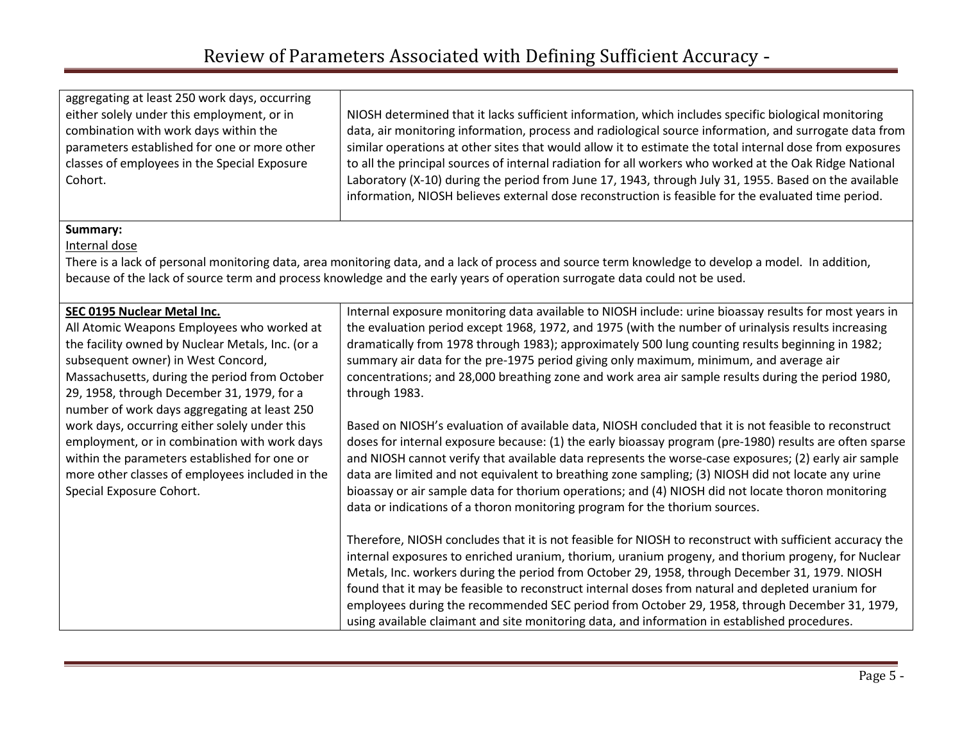aggregating at least 250 work days, occurring either solely under this employment, or in combination with work days within the parameters established for one or more other classes of employees in the Special Exposure Cohort.

NIOSH determined that it lacks sufficient information, which includes specific biological monitoring data, air monitoring information, process and radiological source information, and surrogate data from similar operations at other sites that would allow it to estimate the total internal dose from exposures to all the principal sources of internal radiation for all workers who worked at the Oak Ridge National Laboratory (X-10) during the period from June 17, 1943, through July 31, 1955. Based on the available information, NIOSH believes external dose reconstruction is feasible for the evaluated time period.

#### Summary:

Internal dose

There is a lack of personal monitoring data, area monitoring data, and a lack of process and source term knowledge to develop a model. In addition, because of the lack of source term and process knowledge and the early years of operation surrogate data could not be used.

| SEC 0195 Nuclear Metal Inc.                      | Internal exposure monitoring data available to NIOSH include: urine bioassay results for most years in   |
|--------------------------------------------------|----------------------------------------------------------------------------------------------------------|
| All Atomic Weapons Employees who worked at       | the evaluation period except 1968, 1972, and 1975 (with the number of urinalysis results increasing      |
| the facility owned by Nuclear Metals, Inc. (or a | dramatically from 1978 through 1983); approximately 500 lung counting results beginning in 1982;         |
| subsequent owner) in West Concord,               | summary air data for the pre-1975 period giving only maximum, minimum, and average air                   |
| Massachusetts, during the period from October    | concentrations; and 28,000 breathing zone and work area air sample results during the period 1980,       |
| 29, 1958, through December 31, 1979, for a       | through 1983.                                                                                            |
| number of work days aggregating at least 250     |                                                                                                          |
| work days, occurring either solely under this    | Based on NIOSH's evaluation of available data, NIOSH concluded that it is not feasible to reconstruct    |
| employment, or in combination with work days     | doses for internal exposure because: (1) the early bioassay program (pre-1980) results are often sparse  |
| within the parameters established for one or     | and NIOSH cannot verify that available data represents the worse-case exposures; (2) early air sample    |
| more other classes of employees included in the  | data are limited and not equivalent to breathing zone sampling; (3) NIOSH did not locate any urine       |
| Special Exposure Cohort.                         | bioassay or air sample data for thorium operations; and (4) NIOSH did not locate thoron monitoring       |
|                                                  | data or indications of a thoron monitoring program for the thorium sources.                              |
|                                                  |                                                                                                          |
|                                                  | Therefore, NIOSH concludes that it is not feasible for NIOSH to reconstruct with sufficient accuracy the |
|                                                  | internal exposures to enriched uranium, thorium, uranium progeny, and thorium progeny, for Nuclear       |
|                                                  | Metals, Inc. workers during the period from October 29, 1958, through December 31, 1979. NIOSH           |
|                                                  | found that it may be feasible to reconstruct internal doses from natural and depleted uranium for        |
|                                                  | employees during the recommended SEC period from October 29, 1958, through December 31, 1979,            |
|                                                  | using available claimant and site monitoring data, and information in established procedures.            |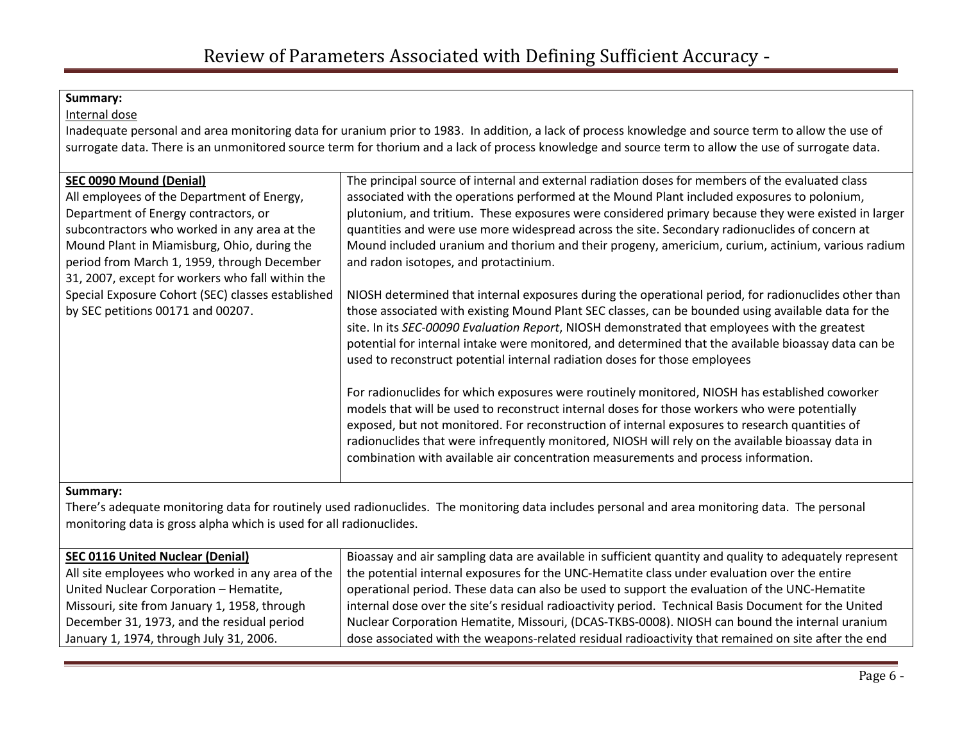#### Internal dose

Inadequate personal and area monitoring data for uranium prior to 1983. In addition, a lack of process knowledge and source term to allow the use of surrogate data. There is an unmonitored source term for thorium and a lack of process knowledge and source term to allow the use of surrogate data.

| <b>SEC 0090 Mound (Denial)</b>                    | The principal source of internal and external radiation doses for members of the evaluated class     |
|---------------------------------------------------|------------------------------------------------------------------------------------------------------|
| All employees of the Department of Energy,        | associated with the operations performed at the Mound Plant included exposures to polonium,          |
| Department of Energy contractors, or              | plutonium, and tritium. These exposures were considered primary because they were existed in larger  |
| subcontractors who worked in any area at the      | quantities and were use more widespread across the site. Secondary radionuclides of concern at       |
| Mound Plant in Miamisburg, Ohio, during the       | Mound included uranium and thorium and their progeny, americium, curium, actinium, various radium    |
| period from March 1, 1959, through December       | and radon isotopes, and protactinium.                                                                |
| 31, 2007, except for workers who fall within the  |                                                                                                      |
| Special Exposure Cohort (SEC) classes established | NIOSH determined that internal exposures during the operational period, for radionuclides other than |
| by SEC petitions 00171 and 00207.                 | those associated with existing Mound Plant SEC classes, can be bounded using available data for the  |
|                                                   | site. In its SEC-00090 Evaluation Report, NIOSH demonstrated that employees with the greatest        |
|                                                   | potential for internal intake were monitored, and determined that the available bioassay data can be |
|                                                   | used to reconstruct potential internal radiation doses for those employees                           |
|                                                   |                                                                                                      |
|                                                   | For radionuclides for which exposures were routinely monitored, NIOSH has established coworker       |
|                                                   | models that will be used to reconstruct internal doses for those workers who were potentially        |
|                                                   | exposed, but not monitored. For reconstruction of internal exposures to research quantities of       |
|                                                   | radionuclides that were infrequently monitored, NIOSH will rely on the available bioassay data in    |
|                                                   | combination with available air concentration measurements and process information.                   |
|                                                   |                                                                                                      |

### Summary:

There's adequate monitoring data for routinely used radionuclides. The monitoring data includes personal and area monitoring data. The personal monitoring data is gross alpha which is used for all radionuclides.

| <b>SEC 0116 United Nuclear (Denial)</b>          | Bioassay and air sampling data are available in sufficient quantity and quality to adequately represent |
|--------------------------------------------------|---------------------------------------------------------------------------------------------------------|
| All site employees who worked in any area of the | the potential internal exposures for the UNC-Hematite class under evaluation over the entire            |
| United Nuclear Corporation - Hematite,           | operational period. These data can also be used to support the evaluation of the UNC-Hematite           |
| Missouri, site from January 1, 1958, through     | internal dose over the site's residual radioactivity period. Technical Basis Document for the United    |
| December 31, 1973, and the residual period       | Nuclear Corporation Hematite, Missouri, (DCAS-TKBS-0008). NIOSH can bound the internal uranium          |
| January 1, 1974, through July 31, 2006.          | dose associated with the weapons-related residual radioactivity that remained on site after the end     |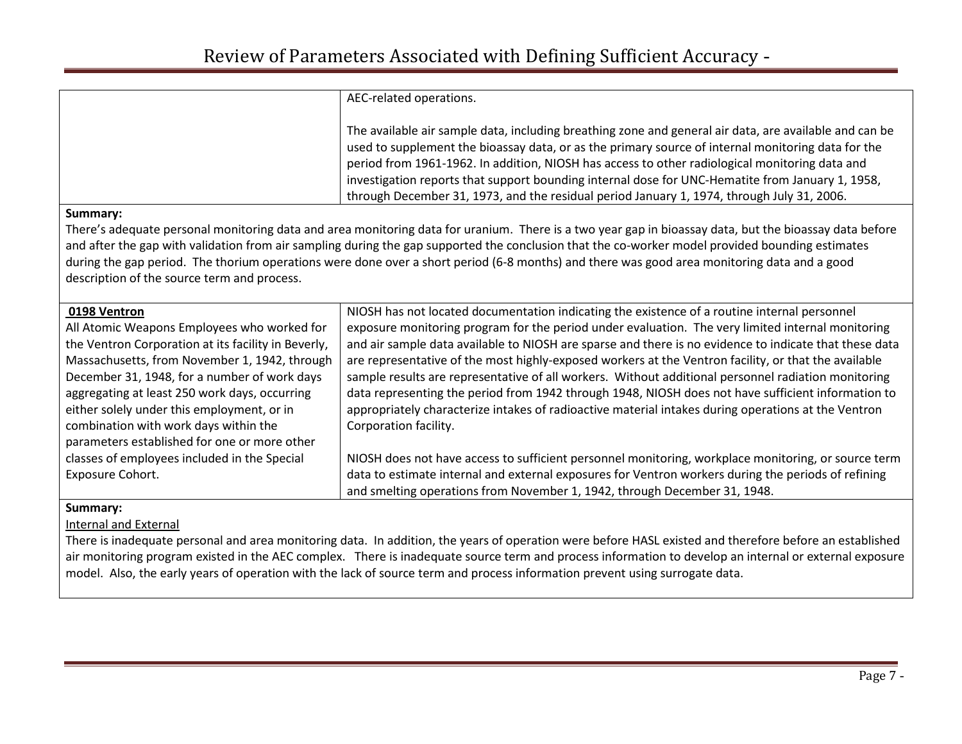|                                                                                                                                                                                                                                                                                                            | AEC-related operations.                                                                                                                                                                                                                                                                                                                                                                                                                                                                                          |  |
|------------------------------------------------------------------------------------------------------------------------------------------------------------------------------------------------------------------------------------------------------------------------------------------------------------|------------------------------------------------------------------------------------------------------------------------------------------------------------------------------------------------------------------------------------------------------------------------------------------------------------------------------------------------------------------------------------------------------------------------------------------------------------------------------------------------------------------|--|
|                                                                                                                                                                                                                                                                                                            | The available air sample data, including breathing zone and general air data, are available and can be<br>used to supplement the bioassay data, or as the primary source of internal monitoring data for the<br>period from 1961-1962. In addition, NIOSH has access to other radiological monitoring data and<br>investigation reports that support bounding internal dose for UNC-Hematite from January 1, 1958,<br>through December 31, 1973, and the residual period January 1, 1974, through July 31, 2006. |  |
| Summary:                                                                                                                                                                                                                                                                                                   |                                                                                                                                                                                                                                                                                                                                                                                                                                                                                                                  |  |
| There's adequate personal monitoring data and area monitoring data for uranium. There is a two year gap in bioassay data, but the bioassay data before<br>and after the gap with validation from air sampling during the gap supported the conclusion that the co-worker model provided bounding estimates |                                                                                                                                                                                                                                                                                                                                                                                                                                                                                                                  |  |
|                                                                                                                                                                                                                                                                                                            | during the gap period. The thorium operations were done over a short period (6-8 months) and there was good area monitoring data and a good                                                                                                                                                                                                                                                                                                                                                                      |  |
| description of the source term and process.                                                                                                                                                                                                                                                                |                                                                                                                                                                                                                                                                                                                                                                                                                                                                                                                  |  |
| 0198 Ventron                                                                                                                                                                                                                                                                                               | NIOSH has not located documentation indicating the existence of a routine internal personnel                                                                                                                                                                                                                                                                                                                                                                                                                     |  |
| All Atomic Weapons Employees who worked for                                                                                                                                                                                                                                                                | exposure monitoring program for the period under evaluation. The very limited internal monitoring                                                                                                                                                                                                                                                                                                                                                                                                                |  |
| the Ventron Corporation at its facility in Beverly,                                                                                                                                                                                                                                                        | and air sample data available to NIOSH are sparse and there is no evidence to indicate that these data                                                                                                                                                                                                                                                                                                                                                                                                           |  |
| Massachusetts, from November 1, 1942, through                                                                                                                                                                                                                                                              | are representative of the most highly-exposed workers at the Ventron facility, or that the available                                                                                                                                                                                                                                                                                                                                                                                                             |  |

December 31, 1948, for a number of work days  $\frac{1}{2}$  sample results are representative of all workers. Without additional personnel radiation monitoring aggregating at least 250 work days, occurring data representing the period from 1942 through 1948, NIOSH does not have sufficient information to either solely under this employment, or in <br>appropriately characterize intakes of radioactive material intakes during operations at the Ventron

classes of employees included in the Special NIOSH does not have access to sufficient personnel monitoring, workplace monitoring, or source term Exposure Cohort. data to estimate internal and external exposures for Ventron workers during the periods of refining

and smelting operations from November 1, 1942, through December 31, 1948.

Summary:

### Internal and External

combination with work days within the  $\Box$  Corporation facility.

parameters established for one or more other

There is inadequate personal and area monitoring data. In addition, the years of operation were before HASL existed and therefore before an established air monitoring program existed in the AEC complex. There is inadequate source term and process information to develop an internal or external exposure model. Also, the early years of operation with the lack of source term and process information prevent using surrogate data.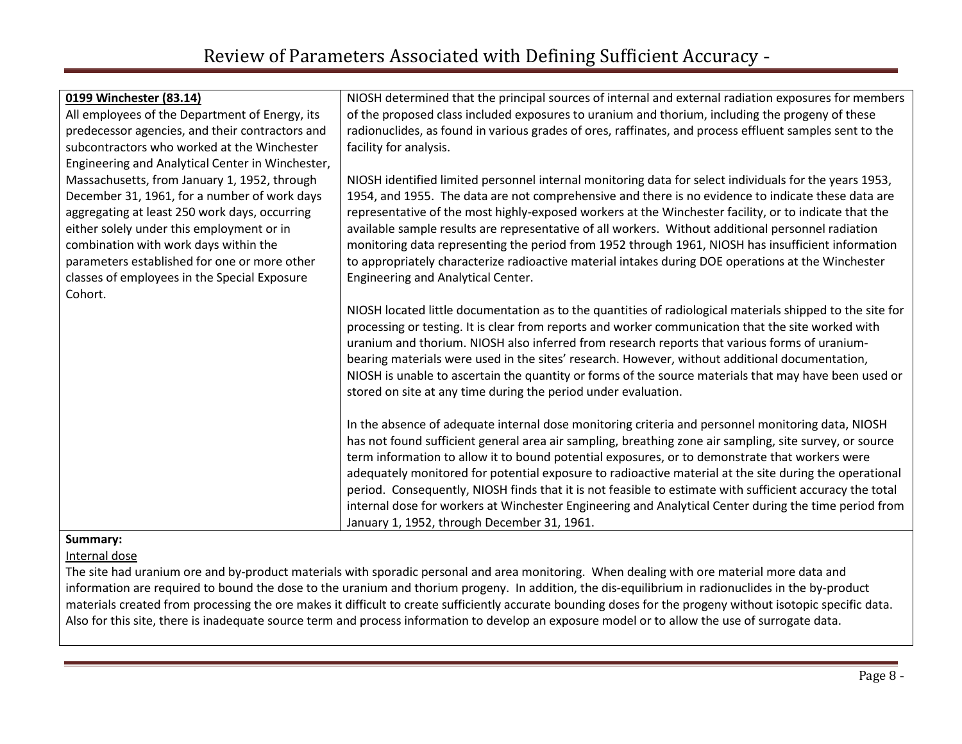| 0199 Winchester (83.14)                          | NIOSH determined that the principal sources of internal and external radiation exposures for members                                                                                                                                                                                                                                                                                                                                                                                                                                                                                          |
|--------------------------------------------------|-----------------------------------------------------------------------------------------------------------------------------------------------------------------------------------------------------------------------------------------------------------------------------------------------------------------------------------------------------------------------------------------------------------------------------------------------------------------------------------------------------------------------------------------------------------------------------------------------|
| All employees of the Department of Energy, its   | of the proposed class included exposures to uranium and thorium, including the progeny of these                                                                                                                                                                                                                                                                                                                                                                                                                                                                                               |
| predecessor agencies, and their contractors and  | radionuclides, as found in various grades of ores, raffinates, and process effluent samples sent to the                                                                                                                                                                                                                                                                                                                                                                                                                                                                                       |
| subcontractors who worked at the Winchester      | facility for analysis.                                                                                                                                                                                                                                                                                                                                                                                                                                                                                                                                                                        |
| Engineering and Analytical Center in Winchester, |                                                                                                                                                                                                                                                                                                                                                                                                                                                                                                                                                                                               |
| Massachusetts, from January 1, 1952, through     | NIOSH identified limited personnel internal monitoring data for select individuals for the years 1953,                                                                                                                                                                                                                                                                                                                                                                                                                                                                                        |
| December 31, 1961, for a number of work days     | 1954, and 1955. The data are not comprehensive and there is no evidence to indicate these data are                                                                                                                                                                                                                                                                                                                                                                                                                                                                                            |
| aggregating at least 250 work days, occurring    | representative of the most highly-exposed workers at the Winchester facility, or to indicate that the                                                                                                                                                                                                                                                                                                                                                                                                                                                                                         |
| either solely under this employment or in        | available sample results are representative of all workers. Without additional personnel radiation                                                                                                                                                                                                                                                                                                                                                                                                                                                                                            |
| combination with work days within the            | monitoring data representing the period from 1952 through 1961, NIOSH has insufficient information                                                                                                                                                                                                                                                                                                                                                                                                                                                                                            |
| parameters established for one or more other     | to appropriately characterize radioactive material intakes during DOE operations at the Winchester                                                                                                                                                                                                                                                                                                                                                                                                                                                                                            |
| classes of employees in the Special Exposure     | Engineering and Analytical Center.                                                                                                                                                                                                                                                                                                                                                                                                                                                                                                                                                            |
| Cohort.                                          |                                                                                                                                                                                                                                                                                                                                                                                                                                                                                                                                                                                               |
|                                                  | NIOSH located little documentation as to the quantities of radiological materials shipped to the site for<br>processing or testing. It is clear from reports and worker communication that the site worked with<br>uranium and thorium. NIOSH also inferred from research reports that various forms of uranium-<br>bearing materials were used in the sites' research. However, without additional documentation,<br>NIOSH is unable to ascertain the quantity or forms of the source materials that may have been used or<br>stored on site at any time during the period under evaluation. |
|                                                  |                                                                                                                                                                                                                                                                                                                                                                                                                                                                                                                                                                                               |
|                                                  | In the absence of adequate internal dose monitoring criteria and personnel monitoring data, NIOSH<br>has not found sufficient general area air sampling, breathing zone air sampling, site survey, or source                                                                                                                                                                                                                                                                                                                                                                                  |
|                                                  | term information to allow it to bound potential exposures, or to demonstrate that workers were                                                                                                                                                                                                                                                                                                                                                                                                                                                                                                |
|                                                  | adequately monitored for potential exposure to radioactive material at the site during the operational                                                                                                                                                                                                                                                                                                                                                                                                                                                                                        |
|                                                  | period. Consequently, NIOSH finds that it is not feasible to estimate with sufficient accuracy the total                                                                                                                                                                                                                                                                                                                                                                                                                                                                                      |
|                                                  | internal dose for workers at Winchester Engineering and Analytical Center during the time period from                                                                                                                                                                                                                                                                                                                                                                                                                                                                                         |
|                                                  | January 1, 1952, through December 31, 1961.                                                                                                                                                                                                                                                                                                                                                                                                                                                                                                                                                   |

Internal dose

The site had uranium ore and by-product materials with sporadic personal and area monitoring. When dealing with ore material more data and information are required to bound the dose to the uranium and thorium progeny. In addition, the dis-equilibrium in radionuclides in the by-product materials created from processing the ore makes it difficult to create sufficiently accurate bounding doses for the progeny without isotopic specific data. Also for this site, there is inadequate source term and process information to develop an exposure model or to allow the use of surrogate data.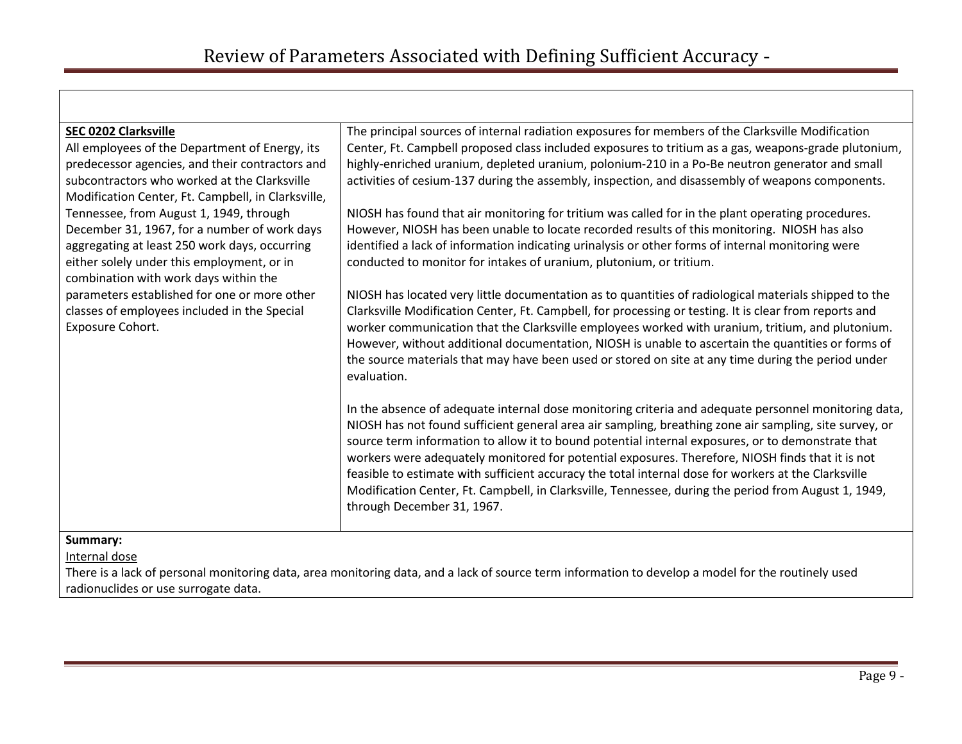| <b>SEC 0202 Clarksville</b>                        | The principal sources of internal radiation exposures for members of the Clarksville Modification      |
|----------------------------------------------------|--------------------------------------------------------------------------------------------------------|
| All employees of the Department of Energy, its     | Center, Ft. Campbell proposed class included exposures to tritium as a gas, weapons-grade plutonium,   |
| predecessor agencies, and their contractors and    | highly-enriched uranium, depleted uranium, polonium-210 in a Po-Be neutron generator and small         |
| subcontractors who worked at the Clarksville       | activities of cesium-137 during the assembly, inspection, and disassembly of weapons components.       |
| Modification Center, Ft. Campbell, in Clarksville, |                                                                                                        |
| Tennessee, from August 1, 1949, through            | NIOSH has found that air monitoring for tritium was called for in the plant operating procedures.      |
| December 31, 1967, for a number of work days       | However, NIOSH has been unable to locate recorded results of this monitoring. NIOSH has also           |
| aggregating at least 250 work days, occurring      | identified a lack of information indicating urinalysis or other forms of internal monitoring were      |
| either solely under this employment, or in         | conducted to monitor for intakes of uranium, plutonium, or tritium.                                    |
| combination with work days within the              |                                                                                                        |
| parameters established for one or more other       | NIOSH has located very little documentation as to quantities of radiological materials shipped to the  |
| classes of employees included in the Special       | Clarksville Modification Center, Ft. Campbell, for processing or testing. It is clear from reports and |
| Exposure Cohort.                                   | worker communication that the Clarksville employees worked with uranium, tritium, and plutonium.       |
|                                                    | However, without additional documentation, NIOSH is unable to ascertain the quantities or forms of     |
|                                                    | the source materials that may have been used or stored on site at any time during the period under     |
|                                                    | evaluation.                                                                                            |
|                                                    |                                                                                                        |
|                                                    | In the absence of adequate internal dose monitoring criteria and adequate personnel monitoring data,   |
|                                                    | NIOSH has not found sufficient general area air sampling, breathing zone air sampling, site survey, or |
|                                                    | source term information to allow it to bound potential internal exposures, or to demonstrate that      |
|                                                    | workers were adequately monitored for potential exposures. Therefore, NIOSH finds that it is not       |
|                                                    | feasible to estimate with sufficient accuracy the total internal dose for workers at the Clarksville   |
|                                                    | Modification Center, Ft. Campbell, in Clarksville, Tennessee, during the period from August 1, 1949,   |
|                                                    | through December 31, 1967.                                                                             |
|                                                    |                                                                                                        |

Internal dose

There is a lack of personal monitoring data, area monitoring data, and a lack of source term information to develop a model for the routinely used radionuclides or use surrogate data.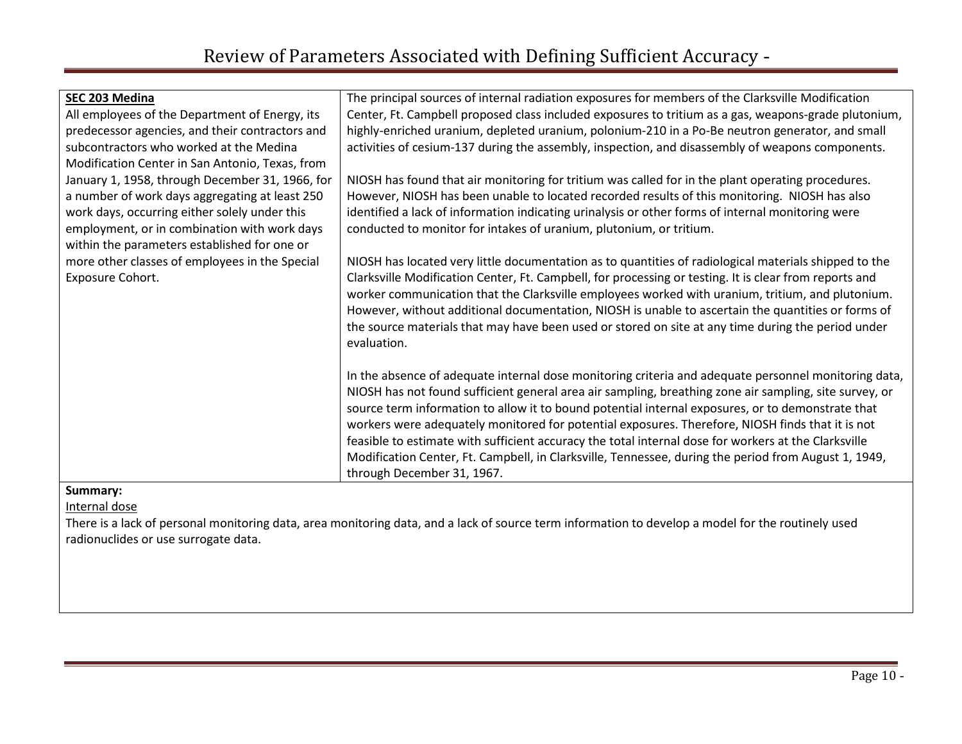| The principal sources of internal radiation exposures for members of the Clarksville Modification                                                                                                                                                                                                                                                                                                                                                                                                                                                                                                                                                                     |
|-----------------------------------------------------------------------------------------------------------------------------------------------------------------------------------------------------------------------------------------------------------------------------------------------------------------------------------------------------------------------------------------------------------------------------------------------------------------------------------------------------------------------------------------------------------------------------------------------------------------------------------------------------------------------|
| Center, Ft. Campbell proposed class included exposures to tritium as a gas, weapons-grade plutonium,                                                                                                                                                                                                                                                                                                                                                                                                                                                                                                                                                                  |
| highly-enriched uranium, depleted uranium, polonium-210 in a Po-Be neutron generator, and small                                                                                                                                                                                                                                                                                                                                                                                                                                                                                                                                                                       |
| activities of cesium-137 during the assembly, inspection, and disassembly of weapons components.                                                                                                                                                                                                                                                                                                                                                                                                                                                                                                                                                                      |
|                                                                                                                                                                                                                                                                                                                                                                                                                                                                                                                                                                                                                                                                       |
| NIOSH has found that air monitoring for tritium was called for in the plant operating procedures.                                                                                                                                                                                                                                                                                                                                                                                                                                                                                                                                                                     |
| However, NIOSH has been unable to located recorded results of this monitoring. NIOSH has also                                                                                                                                                                                                                                                                                                                                                                                                                                                                                                                                                                         |
| identified a lack of information indicating urinalysis or other forms of internal monitoring were                                                                                                                                                                                                                                                                                                                                                                                                                                                                                                                                                                     |
| conducted to monitor for intakes of uranium, plutonium, or tritium.                                                                                                                                                                                                                                                                                                                                                                                                                                                                                                                                                                                                   |
|                                                                                                                                                                                                                                                                                                                                                                                                                                                                                                                                                                                                                                                                       |
| NIOSH has located very little documentation as to quantities of radiological materials shipped to the                                                                                                                                                                                                                                                                                                                                                                                                                                                                                                                                                                 |
| Clarksville Modification Center, Ft. Campbell, for processing or testing. It is clear from reports and<br>worker communication that the Clarksville employees worked with uranium, tritium, and plutonium.<br>However, without additional documentation, NIOSH is unable to ascertain the quantities or forms of<br>the source materials that may have been used or stored on site at any time during the period under<br>evaluation.                                                                                                                                                                                                                                 |
| In the absence of adequate internal dose monitoring criteria and adequate personnel monitoring data,<br>NIOSH has not found sufficient general area air sampling, breathing zone air sampling, site survey, or<br>source term information to allow it to bound potential internal exposures, or to demonstrate that<br>workers were adequately monitored for potential exposures. Therefore, NIOSH finds that it is not<br>feasible to estimate with sufficient accuracy the total internal dose for workers at the Clarksville<br>Modification Center, Ft. Campbell, in Clarksville, Tennessee, during the period from August 1, 1949,<br>through December 31, 1967. |
|                                                                                                                                                                                                                                                                                                                                                                                                                                                                                                                                                                                                                                                                       |

Internal dose

There is a lack of personal monitoring data, area monitoring data, and a lack of source term information to develop a model for the routinely used radionuclides or use surrogate data.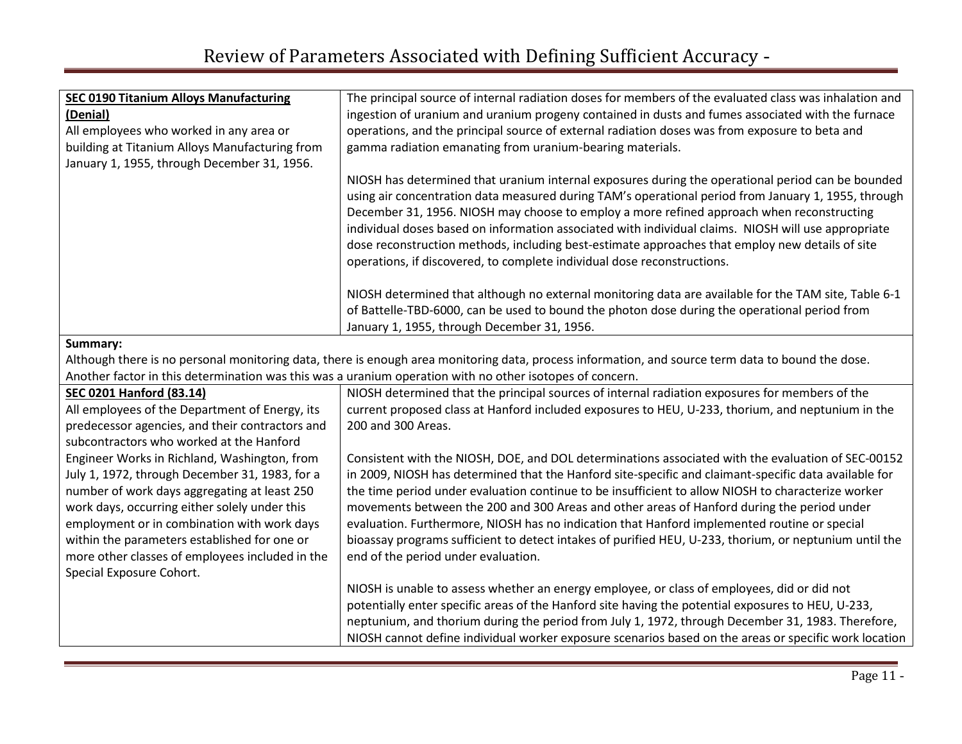| <b>SEC 0190 Titanium Alloys Manufacturing</b>  | The principal source of internal radiation doses for members of the evaluated class was inhalation and                                                                                                                                                                                                                                                                                                                                                                                                                                                                                     |
|------------------------------------------------|--------------------------------------------------------------------------------------------------------------------------------------------------------------------------------------------------------------------------------------------------------------------------------------------------------------------------------------------------------------------------------------------------------------------------------------------------------------------------------------------------------------------------------------------------------------------------------------------|
| (Denial)                                       | ingestion of uranium and uranium progeny contained in dusts and fumes associated with the furnace                                                                                                                                                                                                                                                                                                                                                                                                                                                                                          |
| All employees who worked in any area or        | operations, and the principal source of external radiation doses was from exposure to beta and                                                                                                                                                                                                                                                                                                                                                                                                                                                                                             |
| building at Titanium Alloys Manufacturing from | gamma radiation emanating from uranium-bearing materials.                                                                                                                                                                                                                                                                                                                                                                                                                                                                                                                                  |
| January 1, 1955, through December 31, 1956.    |                                                                                                                                                                                                                                                                                                                                                                                                                                                                                                                                                                                            |
|                                                | NIOSH has determined that uranium internal exposures during the operational period can be bounded<br>using air concentration data measured during TAM's operational period from January 1, 1955, through<br>December 31, 1956. NIOSH may choose to employ a more refined approach when reconstructing<br>individual doses based on information associated with individual claims. NIOSH will use appropriate<br>dose reconstruction methods, including best-estimate approaches that employ new details of site<br>operations, if discovered, to complete individual dose reconstructions. |
|                                                | NIOSH determined that although no external monitoring data are available for the TAM site, Table 6-1<br>of Battelle-TBD-6000, can be used to bound the photon dose during the operational period from<br>January 1, 1955, through December 31, 1956.                                                                                                                                                                                                                                                                                                                                       |
| Summary:                                       |                                                                                                                                                                                                                                                                                                                                                                                                                                                                                                                                                                                            |
|                                                | Although there is no personal monitoring data, there is enough area monitoring data, process information, and source term data to bound the dose.                                                                                                                                                                                                                                                                                                                                                                                                                                          |

Another factor in this determination was this was a uranium operation with no other isotopes of concern.

|                                                                                                                                                                                                                                                                                                                                                                               | Allother Tactor III this determination was this was a dramulli operation with no other isotopes or concern.                                                                                                                                                                                                                                                                                                                                                                                                                                                                                                                                                      |
|-------------------------------------------------------------------------------------------------------------------------------------------------------------------------------------------------------------------------------------------------------------------------------------------------------------------------------------------------------------------------------|------------------------------------------------------------------------------------------------------------------------------------------------------------------------------------------------------------------------------------------------------------------------------------------------------------------------------------------------------------------------------------------------------------------------------------------------------------------------------------------------------------------------------------------------------------------------------------------------------------------------------------------------------------------|
| <b>SEC 0201 Hanford (83.14)</b>                                                                                                                                                                                                                                                                                                                                               | NIOSH determined that the principal sources of internal radiation exposures for members of the                                                                                                                                                                                                                                                                                                                                                                                                                                                                                                                                                                   |
| All employees of the Department of Energy, its                                                                                                                                                                                                                                                                                                                                | current proposed class at Hanford included exposures to HEU, U-233, thorium, and neptunium in the                                                                                                                                                                                                                                                                                                                                                                                                                                                                                                                                                                |
| predecessor agencies, and their contractors and                                                                                                                                                                                                                                                                                                                               | 200 and 300 Areas.                                                                                                                                                                                                                                                                                                                                                                                                                                                                                                                                                                                                                                               |
| subcontractors who worked at the Hanford                                                                                                                                                                                                                                                                                                                                      |                                                                                                                                                                                                                                                                                                                                                                                                                                                                                                                                                                                                                                                                  |
| Engineer Works in Richland, Washington, from<br>July 1, 1972, through December 31, 1983, for a<br>number of work days aggregating at least 250<br>work days, occurring either solely under this<br>employment or in combination with work days<br>within the parameters established for one or<br>more other classes of employees included in the<br>Special Exposure Cohort. | Consistent with the NIOSH, DOE, and DOL determinations associated with the evaluation of SEC-00152<br>in 2009, NIOSH has determined that the Hanford site-specific and claimant-specific data available for<br>the time period under evaluation continue to be insufficient to allow NIOSH to characterize worker<br>movements between the 200 and 300 Areas and other areas of Hanford during the period under<br>evaluation. Furthermore, NIOSH has no indication that Hanford implemented routine or special<br>bioassay programs sufficient to detect intakes of purified HEU, U-233, thorium, or neptunium until the<br>end of the period under evaluation. |
|                                                                                                                                                                                                                                                                                                                                                                               | NIOSH is unable to assess whether an energy employee, or class of employees, did or did not<br>potentially enter specific areas of the Hanford site having the potential exposures to HEU, U-233,<br>neptunium, and thorium during the period from July 1, 1972, through December 31, 1983. Therefore,<br>NIOSH cannot define individual worker exposure scenarios based on the areas or specific work location                                                                                                                                                                                                                                                  |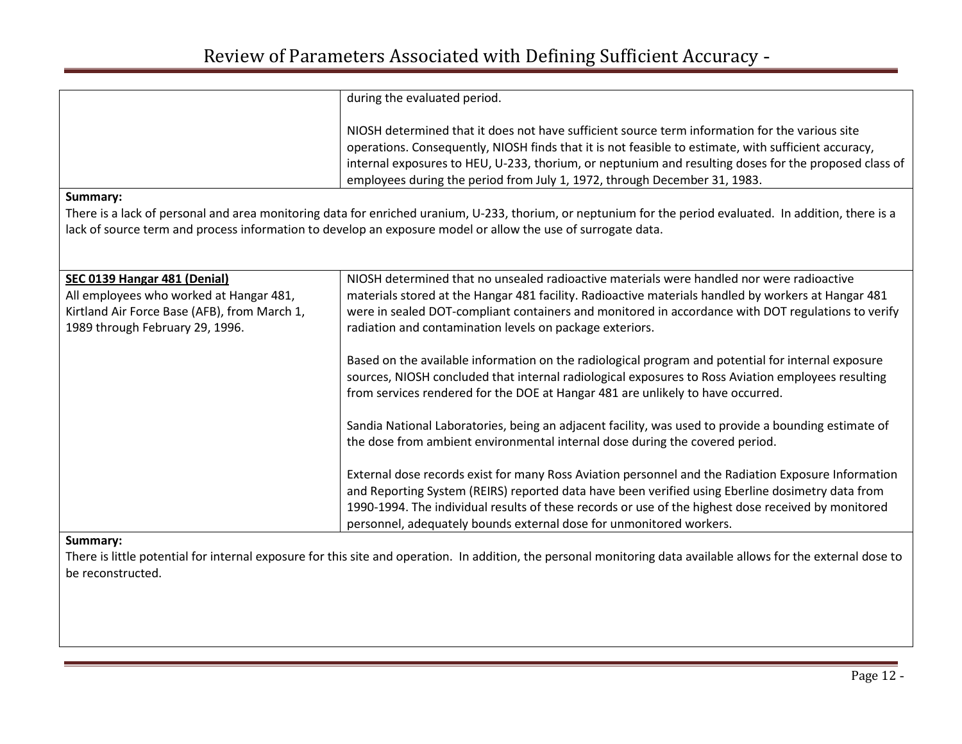|                                              | during the evaluated period.                                                                                                                                                                                                                                                                                                                                                                 |
|----------------------------------------------|----------------------------------------------------------------------------------------------------------------------------------------------------------------------------------------------------------------------------------------------------------------------------------------------------------------------------------------------------------------------------------------------|
|                                              | NIOSH determined that it does not have sufficient source term information for the various site<br>operations. Consequently, NIOSH finds that it is not feasible to estimate, with sufficient accuracy,<br>internal exposures to HEU, U-233, thorium, or neptunium and resulting doses for the proposed class of<br>employees during the period from July 1, 1972, through December 31, 1983. |
| Summary:                                     |                                                                                                                                                                                                                                                                                                                                                                                              |
|                                              | There is a lack of personal and area monitoring data for enriched uranium, U-233, thorium, or neptunium for the period evaluated. In addition, there is a                                                                                                                                                                                                                                    |
|                                              | lack of source term and process information to develop an exposure model or allow the use of surrogate data.                                                                                                                                                                                                                                                                                 |
|                                              |                                                                                                                                                                                                                                                                                                                                                                                              |
| SEC 0139 Hangar 481 (Denial)                 | NIOSH determined that no unsealed radioactive materials were handled nor were radioactive                                                                                                                                                                                                                                                                                                    |
| All employees who worked at Hangar 481,      | materials stored at the Hangar 481 facility. Radioactive materials handled by workers at Hangar 481                                                                                                                                                                                                                                                                                          |
| Kirtland Air Force Base (AFB), from March 1, | were in sealed DOT-compliant containers and monitored in accordance with DOT regulations to verify                                                                                                                                                                                                                                                                                           |
| 1989 through February 29, 1996.              | radiation and contamination levels on package exteriors.                                                                                                                                                                                                                                                                                                                                     |
|                                              | Based on the available information on the radiological program and potential for internal exposure                                                                                                                                                                                                                                                                                           |
|                                              | sources, NIOSH concluded that internal radiological exposures to Ross Aviation employees resulting                                                                                                                                                                                                                                                                                           |
|                                              | from services rendered for the DOE at Hangar 481 are unlikely to have occurred.                                                                                                                                                                                                                                                                                                              |
|                                              | Sandia National Laboratories, being an adjacent facility, was used to provide a bounding estimate of                                                                                                                                                                                                                                                                                         |
|                                              | the dose from ambient environmental internal dose during the covered period.                                                                                                                                                                                                                                                                                                                 |
|                                              |                                                                                                                                                                                                                                                                                                                                                                                              |
|                                              | External dose records exist for many Ross Aviation personnel and the Radiation Exposure Information                                                                                                                                                                                                                                                                                          |
|                                              | and Reporting System (REIRS) reported data have been verified using Eberline dosimetry data from                                                                                                                                                                                                                                                                                             |
|                                              | 1990-1994. The individual results of these records or use of the highest dose received by monitored                                                                                                                                                                                                                                                                                          |
|                                              | personnel, adequately bounds external dose for unmonitored workers.                                                                                                                                                                                                                                                                                                                          |

There is little potential for internal exposure for this site and operation. In addition, the personal monitoring data available allows for the external dose to be reconstructed.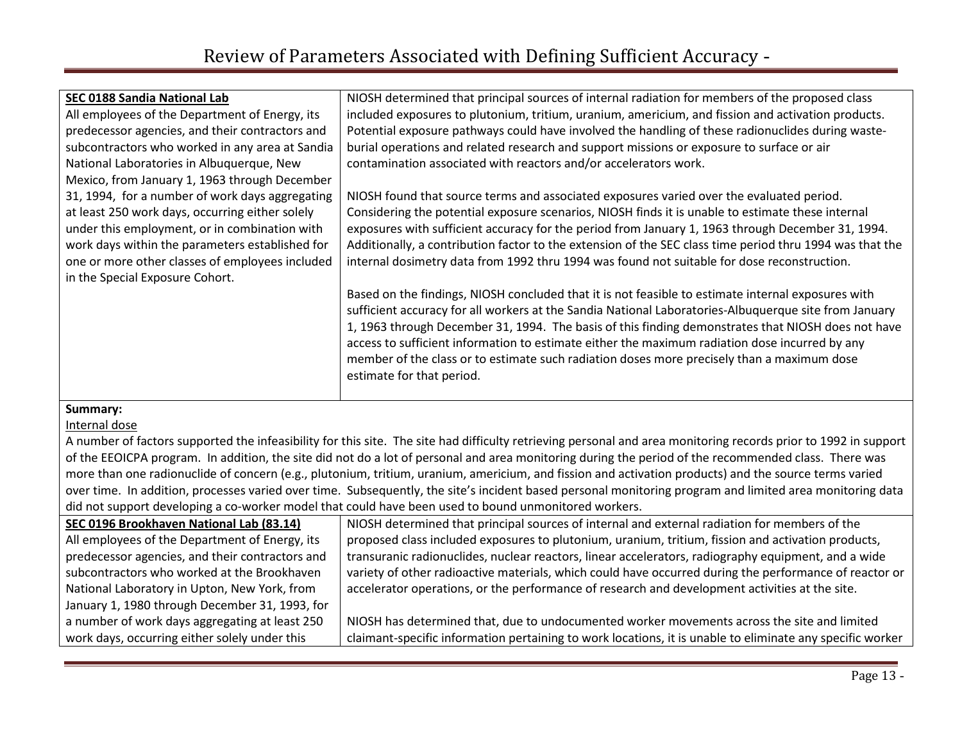| SEC 0188 Sandia National Lab                    | NIOSH determined that principal sources of internal radiation for members of the proposed class          |
|-------------------------------------------------|----------------------------------------------------------------------------------------------------------|
| All employees of the Department of Energy, its  | included exposures to plutonium, tritium, uranium, americium, and fission and activation products.       |
| predecessor agencies, and their contractors and | Potential exposure pathways could have involved the handling of these radionuclides during waste-        |
| subcontractors who worked in any area at Sandia | burial operations and related research and support missions or exposure to surface or air                |
| National Laboratories in Albuquerque, New       | contamination associated with reactors and/or accelerators work.                                         |
| Mexico, from January 1, 1963 through December   |                                                                                                          |
| 31, 1994, for a number of work days aggregating | NIOSH found that source terms and associated exposures varied over the evaluated period.                 |
| at least 250 work days, occurring either solely | Considering the potential exposure scenarios, NIOSH finds it is unable to estimate these internal        |
| under this employment, or in combination with   | exposures with sufficient accuracy for the period from January 1, 1963 through December 31, 1994.        |
| work days within the parameters established for | Additionally, a contribution factor to the extension of the SEC class time period thru 1994 was that the |
| one or more other classes of employees included | internal dosimetry data from 1992 thru 1994 was found not suitable for dose reconstruction.              |
| in the Special Exposure Cohort.                 |                                                                                                          |
|                                                 | Based on the findings, NIOSH concluded that it is not feasible to estimate internal exposures with       |
|                                                 | sufficient accuracy for all workers at the Sandia National Laboratories-Albuquerque site from January    |
|                                                 | 1, 1963 through December 31, 1994. The basis of this finding demonstrates that NIOSH does not have       |
|                                                 | access to sufficient information to estimate either the maximum radiation dose incurred by any           |
|                                                 | member of the class or to estimate such radiation doses more precisely than a maximum dose               |
|                                                 | estimate for that period.                                                                                |
|                                                 |                                                                                                          |
| Summary:                                        |                                                                                                          |

#### Internal dose

A number of factors supported the infeasibility for this site. The site had difficulty retrieving personal and area monitoring records prior to 1992 in support of the EEOICPA program. In addition, the site did not do a lot of personal and area monitoring during the period of the recommended class. There was more than one radionuclide of concern (e.g., plutonium, tritium, uranium, americium, and fission and activation products) and the source terms varied over time. In addition, processes varied over time. Subsequently, the site's incident based personal monitoring program and limited area monitoring data did not support developing a co-worker model that could have been used to bound unmonitored workers.

| SEC 0196 Brookhaven National Lab (83.14)        | NIOSH determined that principal sources of internal and external radiation for members of the             |
|-------------------------------------------------|-----------------------------------------------------------------------------------------------------------|
| All employees of the Department of Energy, its  | proposed class included exposures to plutonium, uranium, tritium, fission and activation products,        |
| predecessor agencies, and their contractors and | transuranic radionuclides, nuclear reactors, linear accelerators, radiography equipment, and a wide       |
| subcontractors who worked at the Brookhaven     | variety of other radioactive materials, which could have occurred during the performance of reactor or    |
| National Laboratory in Upton, New York, from    | accelerator operations, or the performance of research and development activities at the site.            |
| January 1, 1980 through December 31, 1993, for  |                                                                                                           |
| a number of work days aggregating at least 250  | NIOSH has determined that, due to undocumented worker movements across the site and limited               |
| work days, occurring either solely under this   | claimant-specific information pertaining to work locations, it is unable to eliminate any specific worker |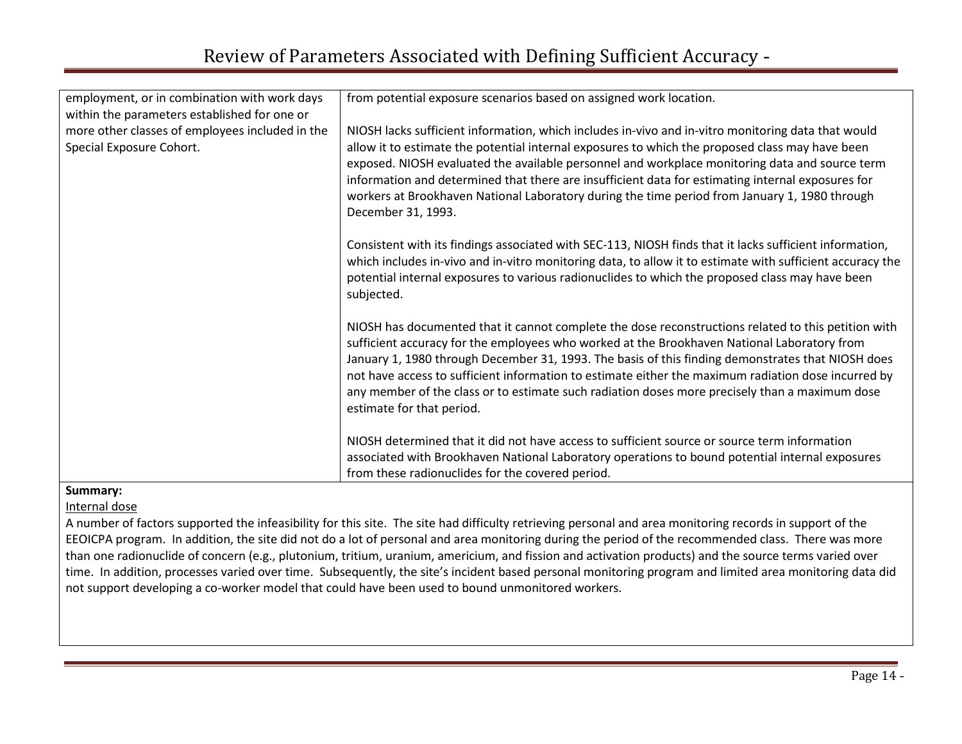| employment, or in combination with work days    | from potential exposure scenarios based on assigned work location.                                                                                                                                                                                                                                                                                                                                                                                                                                                                            |
|-------------------------------------------------|-----------------------------------------------------------------------------------------------------------------------------------------------------------------------------------------------------------------------------------------------------------------------------------------------------------------------------------------------------------------------------------------------------------------------------------------------------------------------------------------------------------------------------------------------|
| within the parameters established for one or    |                                                                                                                                                                                                                                                                                                                                                                                                                                                                                                                                               |
| more other classes of employees included in the | NIOSH lacks sufficient information, which includes in-vivo and in-vitro monitoring data that would                                                                                                                                                                                                                                                                                                                                                                                                                                            |
| Special Exposure Cohort.                        | allow it to estimate the potential internal exposures to which the proposed class may have been<br>exposed. NIOSH evaluated the available personnel and workplace monitoring data and source term<br>information and determined that there are insufficient data for estimating internal exposures for<br>workers at Brookhaven National Laboratory during the time period from January 1, 1980 through<br>December 31, 1993.                                                                                                                 |
|                                                 | Consistent with its findings associated with SEC-113, NIOSH finds that it lacks sufficient information,<br>which includes in-vivo and in-vitro monitoring data, to allow it to estimate with sufficient accuracy the<br>potential internal exposures to various radionuclides to which the proposed class may have been<br>subjected.                                                                                                                                                                                                         |
|                                                 | NIOSH has documented that it cannot complete the dose reconstructions related to this petition with<br>sufficient accuracy for the employees who worked at the Brookhaven National Laboratory from<br>January 1, 1980 through December 31, 1993. The basis of this finding demonstrates that NIOSH does<br>not have access to sufficient information to estimate either the maximum radiation dose incurred by<br>any member of the class or to estimate such radiation doses more precisely than a maximum dose<br>estimate for that period. |
|                                                 | NIOSH determined that it did not have access to sufficient source or source term information<br>associated with Brookhaven National Laboratory operations to bound potential internal exposures<br>from these radionuclides for the covered period.                                                                                                                                                                                                                                                                                           |

Internal dose

A number of factors supported the infeasibility for this site. The site had difficulty retrieving personal and area monitoring records in support of the EEOICPA program. In addition, the site did not do a lot of personal and area monitoring during the period of the recommended class. There was more than one radionuclide of concern (e.g., plutonium, tritium, uranium, americium, and fission and activation products) and the source terms varied over time. In addition, processes varied over time. Subsequently, the site's incident based personal monitoring program and limited area monitoring data did not support developing a co-worker model that could have been used to bound unmonitored workers.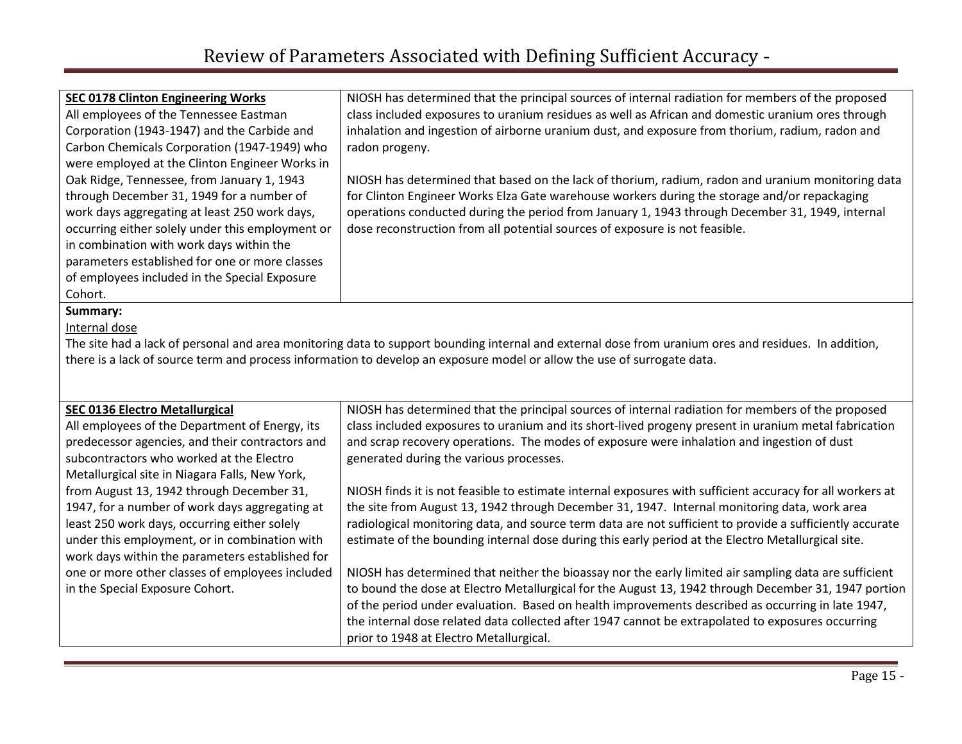| <b>SEC 0178 Clinton Engineering Works</b>                                                                                                            | NIOSH has determined that the principal sources of internal radiation for members of the proposed    |  |
|------------------------------------------------------------------------------------------------------------------------------------------------------|------------------------------------------------------------------------------------------------------|--|
| All employees of the Tennessee Eastman                                                                                                               | class included exposures to uranium residues as well as African and domestic uranium ores through    |  |
| Corporation (1943-1947) and the Carbide and                                                                                                          | inhalation and ingestion of airborne uranium dust, and exposure from thorium, radium, radon and      |  |
| Carbon Chemicals Corporation (1947-1949) who                                                                                                         | radon progeny.                                                                                       |  |
| were employed at the Clinton Engineer Works in                                                                                                       |                                                                                                      |  |
| Oak Ridge, Tennessee, from January 1, 1943                                                                                                           | NIOSH has determined that based on the lack of thorium, radium, radon and uranium monitoring data    |  |
| through December 31, 1949 for a number of                                                                                                            | for Clinton Engineer Works Elza Gate warehouse workers during the storage and/or repackaging         |  |
| work days aggregating at least 250 work days,                                                                                                        | operations conducted during the period from January 1, 1943 through December 31, 1949, internal      |  |
| occurring either solely under this employment or                                                                                                     | dose reconstruction from all potential sources of exposure is not feasible.                          |  |
| in combination with work days within the                                                                                                             |                                                                                                      |  |
| parameters established for one or more classes                                                                                                       |                                                                                                      |  |
| of employees included in the Special Exposure                                                                                                        |                                                                                                      |  |
| Cohort.                                                                                                                                              |                                                                                                      |  |
| Summary:                                                                                                                                             |                                                                                                      |  |
| Internal dose                                                                                                                                        |                                                                                                      |  |
| The site had a lack of personal and area monitoring data to support bounding internal and external dose from uranium ores and residues. In addition, |                                                                                                      |  |
| there is a lack of source term and process information to develop an exposure model or allow the use of surrogate data.                              |                                                                                                      |  |
|                                                                                                                                                      |                                                                                                      |  |
|                                                                                                                                                      |                                                                                                      |  |
| <b>SEC 0136 Electro Metallurgical</b>                                                                                                                | NIOSH has determined that the principal sources of internal radiation for members of the proposed    |  |
| All employees of the Department of Energy, its                                                                                                       | class included exposures to uranium and its short-lived progeny present in uranium metal fabrication |  |
| predecessor agencies, and their contractors and                                                                                                      | and scrap recovery operations. The modes of exposure were inhalation and ingestion of dust           |  |
| subcontractors who worked at the Electro                                                                                                             | generated during the various processes.                                                              |  |

Metallurgical site in Niagara Falls, New York, from August 13, 1942 through December 31, 1947, for a number of work days aggregating at least 250 work days, occurring either solely under this employment, or in combination with work days within the parameters established for one or more other classes of employees included

in the Special Exposure Cohort.

NIOSH finds it is not feasible to estimate internal exposures with sufficient accuracy for all workers at the site from August 13, 1942 through December 31, 1947. Internal monitoring data, work area radiological monitoring data, and source term data are not sufficient to provide a sufficiently accurate estimate of the bounding internal dose during this early period at the Electro Metallurgical site.

NIOSH has determined that neither the bioassay nor the early limited air sampling data are sufficient to bound the dose at Electro Metallurgical for the August 13, 1942 through December 31, 1947 portion of the period under evaluation. Based on health improvements described as occurring in late 1947, the internal dose related data collected after 1947 cannot be extrapolated to exposures occurring prior to 1948 at Electro Metallurgical.